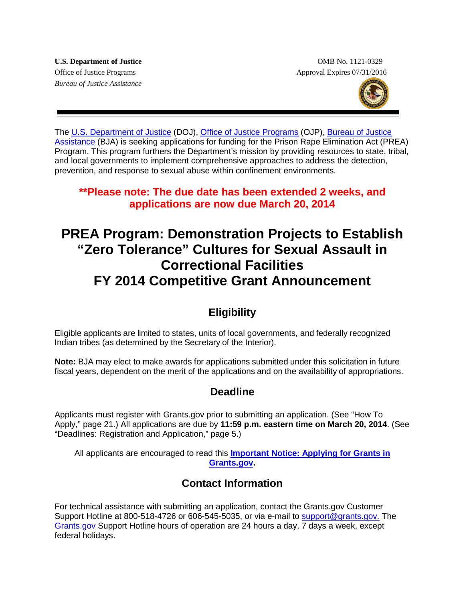**U.S. Department of Justice**  OMB No. 1121-0329 *Bureau of Justice Assistance*

Office of Justice Programs and Approval Expires 07/31/2016



The [U.S. Department of Justice](http://www.usdoj.gov/) (DOJ), [Office of Justice Programs](http://www.ojp.usdoj.gov/) (OJP), [Bureau of Justice](https://www.bja.gov/)  [Assistance](https://www.bja.gov/) (BJA) is seeking applications for funding for the Prison Rape Elimination Act (PREA) Program. This program furthers the Department's mission by providing resources to state, tribal, and local governments to implement comprehensive approaches to address the detection, prevention, and response to sexual abuse within confinement environments.

## **\*\*Please note: The due date has been extended 2 weeks, and applications are now due March 20, 2014**

# **PREA Program: Demonstration Projects to Establish "Zero Tolerance" Cultures for Sexual Assault in Correctional Facilities FY 2014 Competitive Grant Announcement**

# **Eligibility**

Eligible applicants are limited to states, units of local governments, and federally recognized Indian tribes (as determined by the Secretary of the Interior).

**Note:** BJA may elect to make awards for applications submitted under this solicitation in future fiscal years, dependent on the merit of the applications and on the availability of appropriations.

# **Deadline**

Applicants must register with Grants.gov prior to submitting an application. (See "How To Apply," page 21.) All applications are due by **11:59 p.m. eastern time on March 20, 2014**. (See "Deadlines: Registration and Application," page 5.)

All applicants are encouraged to read this **[Important Notice: Applying for Grants in](http://www.ojp.usdoj.gov/funding/grantsgov_information.htm)  [Grants.gov.](http://www.ojp.usdoj.gov/funding/grantsgov_information.htm)**

# **Contact Information**

For technical assistance with submitting an application, contact the Grants.gov Customer Support Hotline at 800-518-4726 or 606-545-5035, or via e-mail to [support@grants.gov.](mailto:support@grants.gov) The [Grants.gov](http://www.grants.gov/applicants/apply_for_grants.jsp) Support Hotline hours of operation are 24 hours a day, 7 days a week, except federal holidays.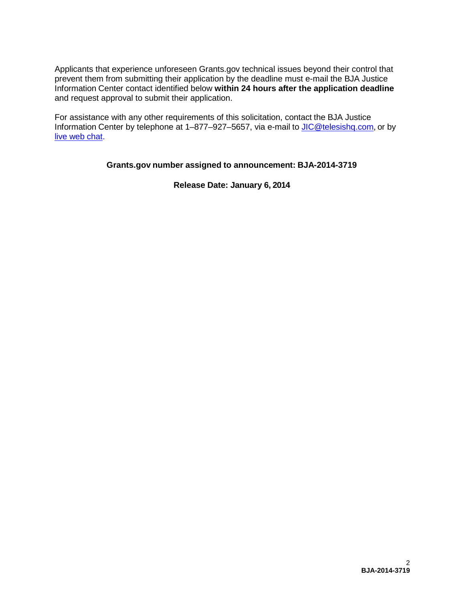Applicants that experience unforeseen Grants.gov technical issues beyond their control that prevent them from submitting their application by the deadline must e-mail the BJA Justice Information Center contact identified below **within 24 hours after the application deadline** and request approval to submit their application.

For assistance with any other requirements of this solicitation, contact the BJA Justice Information Center by telephone at 1-877-927-5657, via e-mail to [JIC@telesishq.com,](mailto:JIC@telesishq.com) or by live web [chat.](http://www.justiceinformationcenter.us/)

**Grants.gov number assigned to announcement: BJA-2014-3719**

**Release Date: January 6, 2014**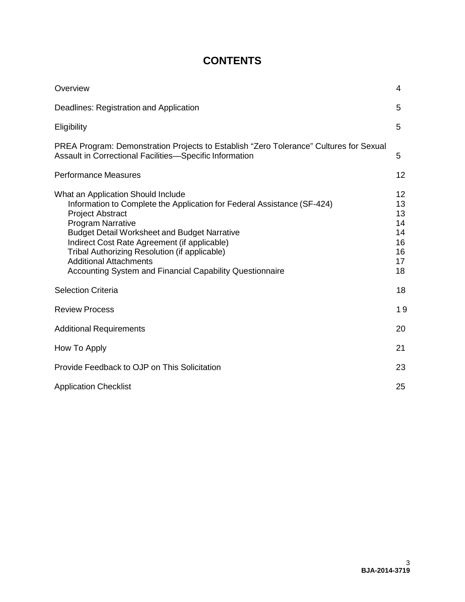# **CONTENTS**

| Overview                                                                                                                                                                                                                                                                                                                                                                                                                  | 4                                                  |  |
|---------------------------------------------------------------------------------------------------------------------------------------------------------------------------------------------------------------------------------------------------------------------------------------------------------------------------------------------------------------------------------------------------------------------------|----------------------------------------------------|--|
| Deadlines: Registration and Application                                                                                                                                                                                                                                                                                                                                                                                   |                                                    |  |
| Eligibility                                                                                                                                                                                                                                                                                                                                                                                                               |                                                    |  |
| PREA Program: Demonstration Projects to Establish "Zero Tolerance" Cultures for Sexual<br>Assault in Correctional Facilities-Specific Information                                                                                                                                                                                                                                                                         | 5                                                  |  |
| <b>Performance Measures</b>                                                                                                                                                                                                                                                                                                                                                                                               | 12                                                 |  |
| What an Application Should Include<br>Information to Complete the Application for Federal Assistance (SF-424)<br><b>Project Abstract</b><br><b>Program Narrative</b><br><b>Budget Detail Worksheet and Budget Narrative</b><br>Indirect Cost Rate Agreement (if applicable)<br>Tribal Authorizing Resolution (if applicable)<br><b>Additional Attachments</b><br>Accounting System and Financial Capability Questionnaire | 12<br>13<br>13<br>14<br>14<br>16<br>16<br>17<br>18 |  |
| <b>Selection Criteria</b>                                                                                                                                                                                                                                                                                                                                                                                                 | 18                                                 |  |
| <b>Review Process</b>                                                                                                                                                                                                                                                                                                                                                                                                     | 19                                                 |  |
| <b>Additional Requirements</b>                                                                                                                                                                                                                                                                                                                                                                                            | 20                                                 |  |
| How To Apply                                                                                                                                                                                                                                                                                                                                                                                                              | 21                                                 |  |
| Provide Feedback to OJP on This Solicitation                                                                                                                                                                                                                                                                                                                                                                              |                                                    |  |
| <b>Application Checklist</b>                                                                                                                                                                                                                                                                                                                                                                                              |                                                    |  |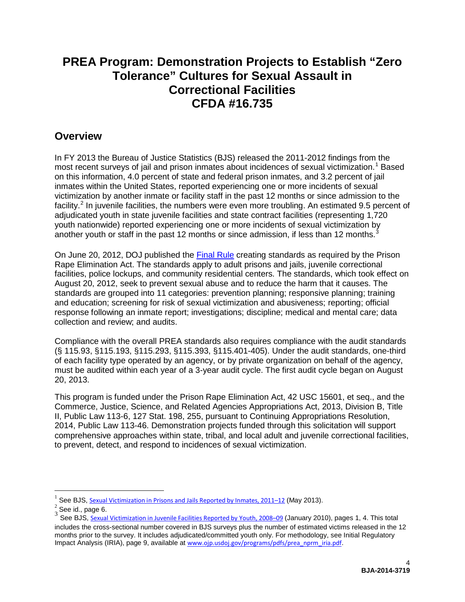# **PREA Program: Demonstration Projects to Establish "Zero Tolerance" Cultures for Sexual Assault in Correctional Facilities CFDA #16.735**

## **Overview**

In FY 2013 the Bureau of Justice Statistics (BJS) released the 2011-2012 findings from the most recent surveys of jail and prison inmates about incidences of sexual victimization.<sup>[1](#page-3-0)</sup> Based on this information, 4.0 percent of state and federal prison inmates, and 3.2 percent of jail inmates within the United States, reported experiencing one or more incidents of sexual victimization by another inmate or facility staff in the past 12 months or since admission to the facility.<sup>[2](#page-3-1)</sup> In juvenile facilities, the numbers were even more troubling. An estimated 9.5 percent of adjudicated youth in state juvenile facilities and state contract facilities (representing 1,720 youth nationwide) reported experiencing one or more incidents of sexual victimization by another youth or staff in the past 12 months or since admission, if less than 12 months.<sup>[3](#page-3-2)</sup>

On June 20, 2012, DOJ published the [Final Rule](http://www.gpo.gov/fdsys/pkg/FR-2012-06-20/pdf/2012-12427.pdf) creating standards as required by the Prison Rape Elimination Act. The standards apply to adult prisons and jails, juvenile correctional facilities, police lockups, and community residential centers. The standards, which took effect on August 20, 2012, seek to prevent sexual abuse and to reduce the harm that it causes. The standards are grouped into 11 categories: prevention planning; responsive planning; training and education; screening for risk of sexual victimization and abusiveness; reporting; official response following an inmate report; investigations; discipline; medical and mental care; data collection and review; and audits.

Compliance with the overall PREA standards also requires compliance with the audit standards (§ 115.93, §115.193, §115.293, §115.393, §115.401-405). Under the audit standards, one-third of each facility type operated by an agency, or by private organization on behalf of the agency, must be audited within each year of a 3-year audit cycle. The first audit cycle began on August 20, 2013.

This program is funded under the Prison Rape Elimination Act, 42 USC 15601, et seq., and the Commerce, Justice, Science, and Related Agencies Appropriations Act, 2013, Division B, Title II, Public Law 113-6, 127 Stat. 198, 255, pursuant to Continuing Appropriations Resolution, 2014, Public Law 113-46. Demonstration projects funded through this solicitation will support comprehensive approaches within state, tribal, and local adult and juvenile correctional facilities, to prevent, detect, and respond to incidences of sexual victimization.

<span id="page-3-2"></span><span id="page-3-1"></span>

<span id="page-3-0"></span><sup>&</sup>lt;sup>1</sup> See BJS, <u>Sexual [Victimization](http://www.bjs.gov/index.cfm?ty=pbdetail&iid=4654) in Prisons and Jails Reported by Inmates, 2011–12</u> (May 2013).<br><sup>2</sup> See id., page 6.<br><sup>3</sup> See BJS, <u>Sexual Victimization in Juvenile Facilities Reported by [Youth, 2008–09](http://www.bjs.gov/index.cfm?ty=pbdetail&iid=2113)</u> (January 2010), includes the cross-sectional number covered in BJS surveys plus the number of estimated victims released in the 12 months prior to the survey. It includes adjudicated/committed youth only. For methodology, see Initial Regulatory Impact Analysis (IRIA), page 9, available at [www.ojp.usdoj.gov/programs/pdfs/prea\\_nprm\\_iria.pdf](http://www.ojp.usdoj.gov/programs/pdfs/prea_nprm_iria.pdf).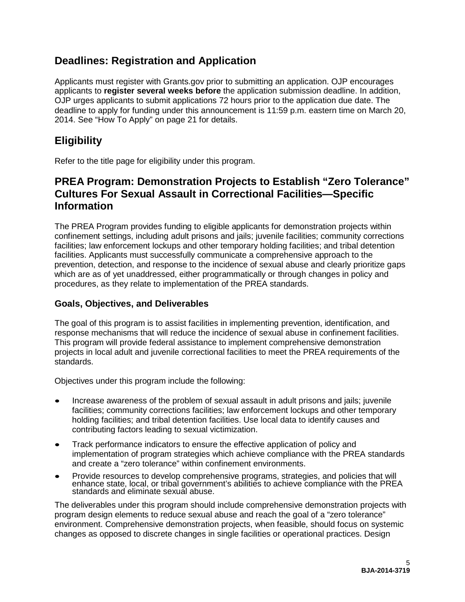# **Deadlines: Registration and Application**

Applicants must register with Grants.gov prior to submitting an application. OJP encourages applicants to **register several weeks before** the application submission deadline. In addition, OJP urges applicants to submit applications 72 hours prior to the application due date. The deadline to apply for funding under this announcement is 11:59 p.m. eastern time on March 20, 2014. See "How To Apply" on page 21 for details.

# **Eligibility**

Refer to the title page for eligibility under this program.

# **PREA Program: Demonstration Projects to Establish "Zero Tolerance" Cultures For Sexual Assault in Correctional Facilities—Specific Information**

The PREA Program provides funding to eligible applicants for demonstration projects within confinement settings, including adult prisons and jails; juvenile facilities; community corrections facilities; law enforcement lockups and other temporary holding facilities; and tribal detention facilities. Applicants must successfully communicate a comprehensive approach to the prevention, detection, and response to the incidence of sexual abuse and clearly prioritize gaps which are as of yet unaddressed, either programmatically or through changes in policy and procedures, as they relate to implementation of the PREA standards.

### **Goals, Objectives, and Deliverables**

The goal of this program is to assist facilities in implementing prevention, identification, and response mechanisms that will reduce the incidence of sexual abuse in confinement facilities. This program will provide federal assistance to implement comprehensive demonstration projects in local adult and juvenile correctional facilities to meet the PREA requirements of the standards.

Objectives under this program include the following:

- Increase awareness of the problem of sexual assault in adult prisons and jails; juvenile facilities; community corrections facilities; law enforcement lockups and other temporary holding facilities; and tribal detention facilities. Use local data to identify causes and contributing factors leading to sexual victimization.
- Track performance indicators to ensure the effective application of policy and implementation of program strategies which achieve compliance with the PREA standards and create a "zero tolerance" within confinement environments.
- Provide resources to develop comprehensive programs, strategies, and policies that will enhance state, local, or tribal government's abilities to achieve compliance with the PREA standards and eliminate sexual abuse.

The deliverables under this program should include comprehensive demonstration projects with program design elements to reduce sexual abuse and reach the goal of a "zero tolerance" environment. Comprehensive demonstration projects, when feasible, should focus on systemic changes as opposed to discrete changes in single facilities or operational practices. Design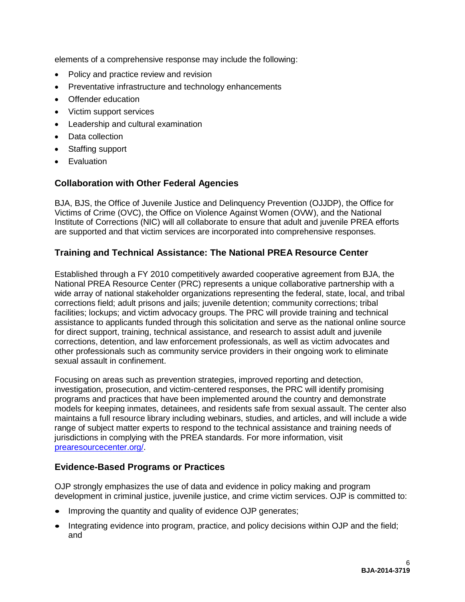elements of a comprehensive response may include the following:

- Policy and practice review and revision
- Preventative infrastructure and technology enhancements
- Offender education
- Victim support services
- Leadership and cultural examination
- Data collection
- Staffing support
- Evaluation

### **Collaboration with Other Federal Agencies**

BJA, BJS, the Office of Juvenile Justice and Delinquency Prevention (OJJDP), the Office for Victims of Crime (OVC), the Office on Violence Against Women (OVW), and the National Institute of Corrections (NIC) will all collaborate to ensure that adult and juvenile PREA efforts are supported and that victim services are incorporated into comprehensive responses.

### **Training and Technical Assistance: The National PREA Resource Center**

Established through a FY 2010 competitively awarded cooperative agreement from BJA, the National PREA Resource Center (PRC) represents a unique collaborative partnership with a wide array of national stakeholder organizations representing the federal, state, local, and tribal corrections field; adult prisons and jails; juvenile detention; community corrections; tribal facilities; lockups; and victim advocacy groups. The PRC will provide training and technical assistance to applicants funded through this solicitation and serve as the national online source for direct support, training, technical assistance, and research to assist adult and juvenile corrections, detention, and law enforcement professionals, as well as victim advocates and other professionals such as community service providers in their ongoing work to eliminate sexual assault in confinement.

Focusing on areas such as prevention strategies, improved reporting and detection, investigation, prosecution, and victim-centered responses, the PRC will identify promising programs and practices that have been implemented around the country and demonstrate models for keeping inmates, detainees, and residents safe from sexual assault. The center also maintains a full resource library including webinars, studies, and articles, and will include a wide range of subject matter experts to respond to the technical assistance and training needs of jurisdictions in complying with the PREA standards. For more information, visit [prearesourcecenter.org/.](http://prearesourcecenter.org/)

### **Evidence-Based Programs or Practices**

OJP strongly emphasizes the use of data and evidence in policy making and program development in criminal justice, juvenile justice, and crime victim services. OJP is committed to:

- Improving the quantity and quality of evidence OJP generates;
- Integrating evidence into program, practice, and policy decisions within OJP and the field; and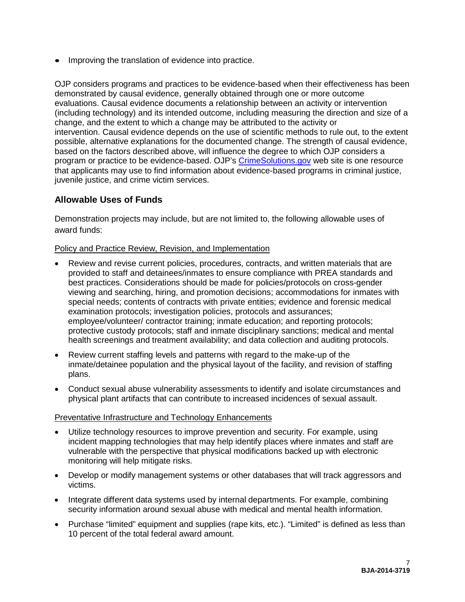• Improving the translation of evidence into practice.

OJP considers programs and practices to be evidence-based when their effectiveness has been demonstrated by causal evidence, generally obtained through one or more outcome evaluations. Causal evidence documents a relationship between an activity or intervention (including technology) and its intended outcome, including measuring the direction and size of a change, and the extent to which a change may be attributed to the activity or intervention. Causal evidence depends on the use of scientific methods to rule out, to the extent possible, alternative explanations for the documented change. The strength of causal evidence, based on the factors described above, will influence the degree to which OJP considers a program or practice to be evidence-based. OJP's [CrimeSolutions.gov](http://www.crimesolutions.gov/) web site is one resource that applicants may use to find information about evidence-based programs in criminal justice, juvenile justice, and crime victim services.

### **Allowable Uses of Funds**

Demonstration projects may include, but are not limited to, the following allowable uses of award funds:

#### Policy and Practice Review, Revision, and Implementation

- Review and revise current policies, procedures, contracts, and written materials that are provided to staff and detainees/inmates to ensure compliance with PREA standards and best practices. Considerations should be made for policies/protocols on cross-gender viewing and searching, hiring, and promotion decisions; accommodations for inmates with special needs; contents of contracts with private entities; evidence and forensic medical examination protocols; investigation policies, protocols and assurances; employee/volunteer/ contractor training; inmate education; and reporting protocols; protective custody protocols; staff and inmate disciplinary sanctions; medical and mental health screenings and treatment availability; and data collection and auditing protocols.
- Review current staffing levels and patterns with regard to the make-up of the inmate/detainee population and the physical layout of the facility, and revision of staffing plans.
- Conduct sexual abuse vulnerability assessments to identify and isolate circumstances and physical plant artifacts that can contribute to increased incidences of sexual assault.

#### Preventative Infrastructure and Technology Enhancements

- Utilize technology resources to improve prevention and security. For example, using incident mapping technologies that may help identify places where inmates and staff are vulnerable with the perspective that physical modifications backed up with electronic monitoring will help mitigate risks.
- Develop or modify management systems or other databases that will track aggressors and victims.
- Integrate different data systems used by internal departments. For example, combining security information around sexual abuse with medical and mental health information.
- Purchase "limited" equipment and supplies (rape kits, etc.). "Limited" is defined as less than 10 percent of the total federal award amount.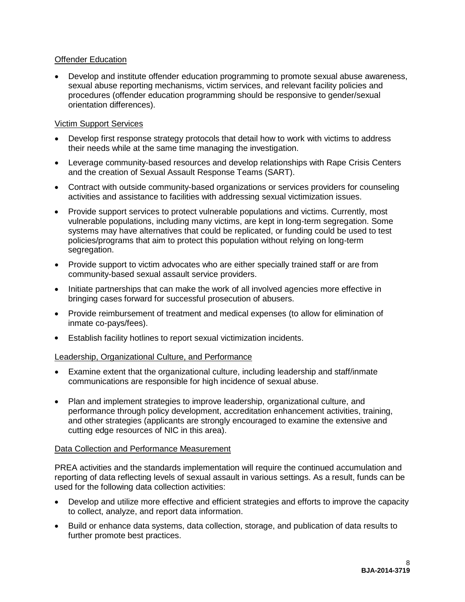#### Offender Education

• Develop and institute offender education programming to promote sexual abuse awareness, sexual abuse reporting mechanisms, victim services, and relevant facility policies and procedures (offender education programming should be responsive to gender/sexual orientation differences).

#### Victim Support Services

- Develop first response strategy protocols that detail how to work with victims to address their needs while at the same time managing the investigation.
- Leverage community-based resources and develop relationships with Rape Crisis Centers and the creation of Sexual Assault Response Teams (SART).
- Contract with outside community-based organizations or services providers for counseling activities and assistance to facilities with addressing sexual victimization issues.
- Provide support services to protect vulnerable populations and victims. Currently, most vulnerable populations, including many victims, are kept in long-term segregation. Some systems may have alternatives that could be replicated, or funding could be used to test policies/programs that aim to protect this population without relying on long-term segregation.
- Provide support to victim advocates who are either specially trained staff or are from community-based sexual assault service providers.
- Initiate partnerships that can make the work of all involved agencies more effective in bringing cases forward for successful prosecution of abusers.
- Provide reimbursement of treatment and medical expenses (to allow for elimination of inmate co-pays/fees).
- Establish facility hotlines to report sexual victimization incidents.

#### Leadership, Organizational Culture, and Performance

- Examine extent that the organizational culture, including leadership and staff/inmate communications are responsible for high incidence of sexual abuse.
- Plan and implement strategies to improve leadership, organizational culture, and performance through policy development, accreditation enhancement activities, training, and other strategies (applicants are strongly encouraged to examine the extensive and cutting edge resources of NIC in this area).

#### Data Collection and Performance Measurement

PREA activities and the standards implementation will require the continued accumulation and reporting of data reflecting levels of sexual assault in various settings. As a result, funds can be used for the following data collection activities:

- Develop and utilize more effective and efficient strategies and efforts to improve the capacity to collect, analyze, and report data information.
- Build or enhance data systems, data collection, storage, and publication of data results to further promote best practices.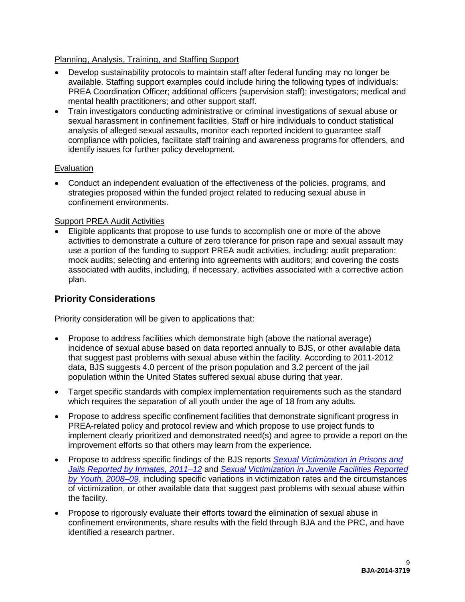#### Planning, Analysis, Training, and Staffing Support

- Develop sustainability protocols to maintain staff after federal funding may no longer be available. Staffing support examples could include hiring the following types of individuals: PREA Coordination Officer; additional officers (supervision staff); investigators; medical and mental health practitioners; and other support staff.
- Train investigators conducting administrative or criminal investigations of sexual abuse or sexual harassment in confinement facilities. Staff or hire individuals to conduct statistical analysis of alleged sexual assaults, monitor each reported incident to guarantee staff compliance with policies, facilitate staff training and awareness programs for offenders, and identify issues for further policy development.

#### **Evaluation**

• Conduct an independent evaluation of the effectiveness of the policies, programs, and strategies proposed within the funded project related to reducing sexual abuse in confinement environments.

#### Support PREA Audit Activities

• Eligible applicants that propose to use funds to accomplish one or more of the above activities to demonstrate a culture of zero tolerance for prison rape and sexual assault may use a portion of the funding to support PREA audit activities, including: audit preparation; mock audits; selecting and entering into agreements with auditors; and covering the costs associated with audits, including, if necessary, activities associated with a corrective action plan.

### **Priority Considerations**

Priority consideration will be given to applications that:

- Propose to address facilities which demonstrate high (above the national average) incidence of sexual abuse based on data reported annually to BJS, or other available data that suggest past problems with sexual abuse within the facility. According to 2011-2012 data, BJS suggests 4.0 percent of the prison population and 3.2 percent of the jail population within the United States suffered sexual abuse during that year.
- Target specific standards with complex implementation requirements such as the standard which requires the separation of all youth under the age of 18 from any adults.
- Propose to address specific confinement facilities that demonstrate significant progress in PREA-related policy and protocol review and which propose to use project funds to implement clearly prioritized and demonstrated need(s) and agree to provide a report on the improvement efforts so that others may learn from the experience.
- Propose to address specific findings of the BJS reports *[Sexual Victimization](http://www.bjs.gov/index.cfm?ty=pbdetail&iid=4654) in Prisons and Jails [Reported](http://www.bjs.gov/index.cfm?ty=pbdetail&iid=4654) by Inmates, 2011–12* and *Sexual [Victimization](http://www.bjs.gov/index.cfm?ty=pbdetail&iid=2113) in Juvenile Facilities Reported by Youth, [2008–09,](http://www.bjs.gov/content/pub/pdf/svjfry09.pdf)* including specific variations in victimization rates and the circumstances of victimization, or other available data that suggest past problems with sexual abuse within the facility.
- Propose to rigorously evaluate their efforts toward the elimination of sexual abuse in confinement environments, share results with the field through BJA and the PRC, and have identified a research partner.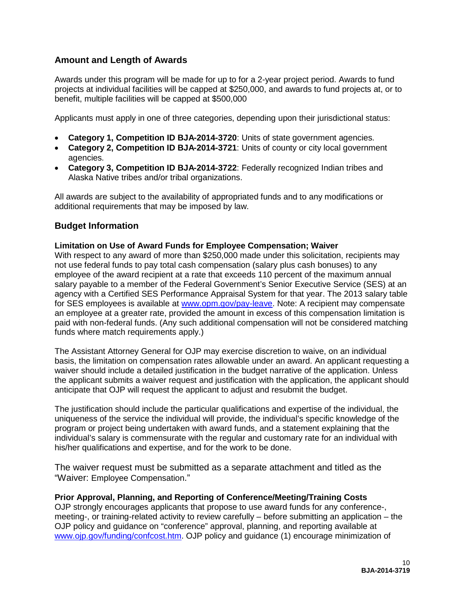### **Amount and Length of Awards**

Awards under this program will be made for up to for a 2-year project period. Awards to fund projects at individual facilities will be capped at \$250,000, and awards to fund projects at, or to benefit, multiple facilities will be capped at \$500,000

Applicants must apply in one of three categories, depending upon their jurisdictional status:

- **Category 1, Competition ID BJA-2014-3720**: Units of state government agencies.
- **Category 2, Competition ID BJA-2014-3721**: Units of county or city local government agencies.
- **Category 3, Competition ID BJA-2014-3722**: Federally recognized Indian tribes and Alaska Native tribes and/or tribal organizations.

All awards are subject to the availability of appropriated funds and to any modifications or additional requirements that may be imposed by law.

#### **Budget Information**

#### **Limitation on Use of Award Funds for Employee Compensation; Waiver**

With respect to any award of more than \$250,000 made under this solicitation, recipients may not use federal funds to pay total cash compensation (salary plus cash bonuses) to any employee of the award recipient at a rate that exceeds 110 percent of the maximum annual salary payable to a member of the Federal Government's Senior Executive Service (SES) at an agency with a Certified SES Performance Appraisal System for that year. The 2013 salary table for SES employees is available at [www.opm.gov/pay-leave.](http://www.opm.gov/policy-data-oversight/pay-leave/salaries-wages/2014/executive-senior-level) Note: A recipient may compensate an employee at a greater rate, provided the amount in excess of this compensation limitation is paid with non-federal funds. (Any such additional compensation will not be considered matching funds where match requirements apply.)

The Assistant Attorney General for OJP may exercise discretion to waive, on an individual basis, the limitation on compensation rates allowable under an award. An applicant requesting a waiver should include a detailed justification in the budget narrative of the application. Unless the applicant submits a waiver request and justification with the application, the applicant should anticipate that OJP will request the applicant to adjust and resubmit the budget.

The justification should include the particular qualifications and expertise of the individual, the uniqueness of the service the individual will provide, the individual's specific knowledge of the program or project being undertaken with award funds, and a statement explaining that the individual's salary is commensurate with the regular and customary rate for an individual with his/her qualifications and expertise, and for the work to be done.

The waiver request must be submitted as a separate attachment and titled as the "Waiver: Employee Compensation."

#### **Prior Approval, Planning, and Reporting of Conference/Meeting/Training Costs**

OJP strongly encourages applicants that propose to use award funds for any conference-, meeting-, or training-related activity to review carefully – before submitting an application – the OJP policy and guidance on "conference" approval, planning, and reporting available at [www.ojp.gov/funding/confcost.htm.](http://www.ojp.gov/funding/confcost.htm) OJP policy and guidance (1) encourage minimization of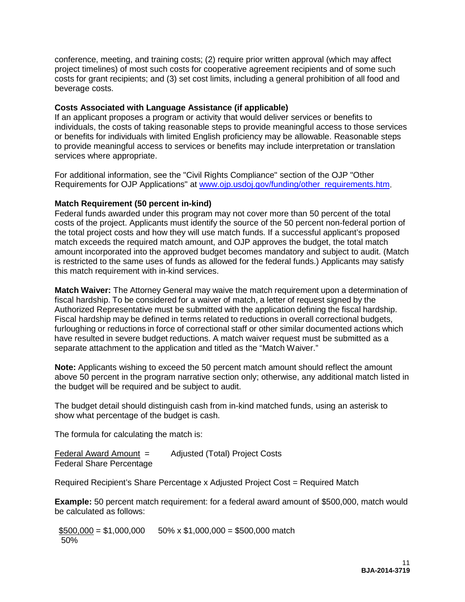conference, meeting, and training costs; (2) require prior written approval (which may affect project timelines) of most such costs for cooperative agreement recipients and of some such costs for grant recipients; and (3) set cost limits, including a general prohibition of all food and beverage costs.

#### **Costs Associated with Language Assistance (if applicable)**

If an applicant proposes a program or activity that would deliver services or benefits to individuals, the costs of taking reasonable steps to provide meaningful access to those services or benefits for individuals with limited English proficiency may be allowable. Reasonable steps to provide meaningful access to services or benefits may include interpretation or translation services where appropriate.

For additional information, see the "Civil Rights Compliance" section of the OJP "Other Requirements for OJP Applications" at [www.ojp.usdoj.gov/funding/other\\_requirements.htm.](http://www.ojp.usdoj.gov/funding/other_requirements.htm)

#### **Match Requirement (50 percent in-kind)**

Federal funds awarded under this program may not cover more than 50 percent of the total costs of the project. Applicants must identify the source of the 50 percent non-federal portion of the total project costs and how they will use match funds. If a successful applicant's proposed match exceeds the required match amount, and OJP approves the budget, the total match amount incorporated into the approved budget becomes mandatory and subject to audit. (Match is restricted to the same uses of funds as allowed for the federal funds.) Applicants may satisfy this match requirement with in-kind services.

**Match Waiver:** The Attorney General may waive the match requirement upon a determination of fiscal hardship. To be considered for a waiver of match, a letter of request signed by the Authorized Representative must be submitted with the application defining the fiscal hardship. Fiscal hardship may be defined in terms related to reductions in overall correctional budgets, furloughing or reductions in force of correctional staff or other similar documented actions which have resulted in severe budget reductions. A match waiver request must be submitted as a separate attachment to the application and titled as the "Match Waiver."

**Note:** Applicants wishing to exceed the 50 percent match amount should reflect the amount above 50 percent in the program narrative section only; otherwise, any additional match listed in the budget will be required and be subject to audit.

The budget detail should distinguish cash from in-kind matched funds, using an asterisk to show what percentage of the budget is cash.

The formula for calculating the match is:

Federal Award Amount = Adjusted (Total) Project Costs Federal Share Percentage

Required Recipient's Share Percentage x Adjusted Project Cost = Required Match

**Example:** 50 percent match requirement: for a federal award amount of \$500,000, match would be calculated as follows:

 $$500,000 = $1,000,000$  50% x \$1,000,000 = \$500,000 match 50%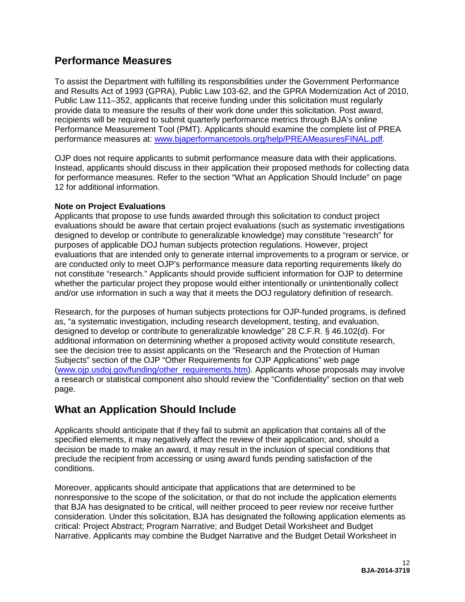## **Performance Measures**

To assist the Department with fulfilling its responsibilities under the Government Performance and Results Act of 1993 (GPRA), Public Law 103-62, and the GPRA Modernization Act of 2010, Public Law 111–352, applicants that receive funding under this solicitation must regularly provide data to measure the results of their work done under this solicitation. Post award, recipients will be required to submit quarterly performance metrics through BJA's online Performance Measurement Tool (PMT). Applicants should examine the complete list of PREA performance measures at: [www.bjaperformancetools.org/help/PREAMeasuresFINAL.pdf.](https://www.bjaperformancetools.org/help/PREAMeasuresFINAL.pdf)

OJP does not require applicants to submit performance measure data with their applications. Instead, applicants should discuss in their application their proposed methods for collecting data for performance measures. Refer to the section "What an Application Should Include" on page 12 for additional information.

#### **Note on Project Evaluations**

Applicants that propose to use funds awarded through this solicitation to conduct project evaluations should be aware that certain project evaluations (such as systematic investigations designed to develop or contribute to generalizable knowledge) may constitute "research" for purposes of applicable DOJ human subjects protection regulations. However, project evaluations that are intended only to generate internal improvements to a program or service, or are conducted only to meet OJP's performance measure data reporting requirements likely do not constitute "research." Applicants should provide sufficient information for OJP to determine whether the particular project they propose would either intentionally or unintentionally collect and/or use information in such a way that it meets the DOJ regulatory definition of research.

Research, for the purposes of human subjects protections for OJP-funded programs, is defined as, "a systematic investigation, including research development, testing, and evaluation, designed to develop or contribute to generalizable knowledge" 28 C.F.R. § 46.102(d). For additional information on determining whether a proposed activity would constitute research, see the decision tree to assist applicants on the "Research and the Protection of Human Subjects" section of the OJP "Other Requirements for OJP Applications" web page [\(www.ojp.usdoj.gov/funding/other\\_requirements.htm\)](http://www.ojp.usdoj.gov/funding/other_requirements.htm). Applicants whose proposals may involve a research or statistical component also should review the "Confidentiality" section on that web page.

# **What an Application Should Include**

Applicants should anticipate that if they fail to submit an application that contains all of the specified elements, it may negatively affect the review of their application; and, should a decision be made to make an award, it may result in the inclusion of special conditions that preclude the recipient from accessing or using award funds pending satisfaction of the conditions.

Moreover, applicants should anticipate that applications that are determined to be nonresponsive to the scope of the solicitation, or that do not include the application elements that BJA has designated to be critical, will neither proceed to peer review nor receive further consideration. Under this solicitation, BJA has designated the following application elements as critical: Project Abstract; Program Narrative; and Budget Detail Worksheet and Budget Narrative. Applicants may combine the Budget Narrative and the Budget Detail Worksheet in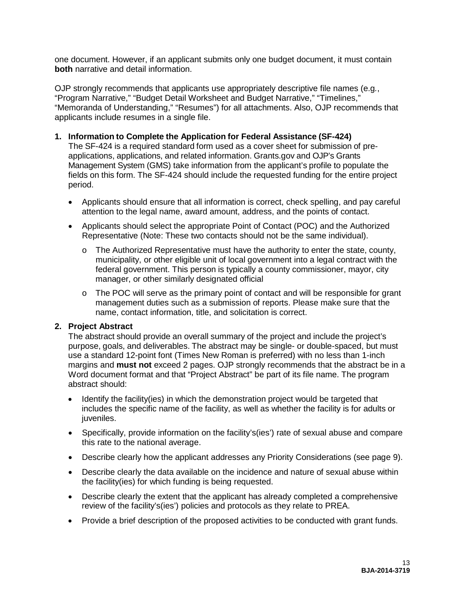one document. However, if an applicant submits only one budget document, it must contain **both** narrative and detail information.

OJP strongly recommends that applicants use appropriately descriptive file names (e.g*.*, "Program Narrative," "Budget Detail Worksheet and Budget Narrative," "Timelines," "Memoranda of Understanding," "Resumes") for all attachments. Also, OJP recommends that applicants include resumes in a single file.

#### **1. Information to Complete the Application for Federal Assistance (SF-424)**

The SF-424 is a required standard form used as a cover sheet for submission of preapplications, applications, and related information. Grants.gov and OJP's Grants Management System (GMS) take information from the applicant's profile to populate the fields on this form. The SF-424 should include the requested funding for the entire project period.

- Applicants should ensure that all information is correct, check spelling, and pay careful attention to the legal name, award amount, address, and the points of contact.
- Applicants should select the appropriate Point of Contact (POC) and the Authorized Representative (Note: These two contacts should not be the same individual).
	- o The Authorized Representative must have the authority to enter the state, county, municipality, or other eligible unit of local government into a legal contract with the federal government. This person is typically a county commissioner, mayor, city manager, or other similarly designated official
	- $\circ$  The POC will serve as the primary point of contact and will be responsible for grant management duties such as a submission of reports. Please make sure that the name, contact information, title, and solicitation is correct.

#### **2. Project Abstract**

The abstract should provide an overall summary of the project and include the project's purpose, goals, and deliverables. The abstract may be single- or double-spaced, but must use a standard 12-point font (Times New Roman is preferred) with no less than 1-inch margins and **must not** exceed 2 pages. OJP strongly recommends that the abstract be in a Word document format and that "Project Abstract" be part of its file name. The program abstract should:

- Identify the facility(ies) in which the demonstration project would be targeted that includes the specific name of the facility, as well as whether the facility is for adults or juveniles.
- Specifically, provide information on the facility's(ies') rate of sexual abuse and compare this rate to the national average.
- Describe clearly how the applicant addresses any Priority Considerations (see page 9).
- Describe clearly the data available on the incidence and nature of sexual abuse within the facility(ies) for which funding is being requested.
- Describe clearly the extent that the applicant has already completed a comprehensive review of the facility's(ies') policies and protocols as they relate to PREA.
- Provide a brief description of the proposed activities to be conducted with grant funds.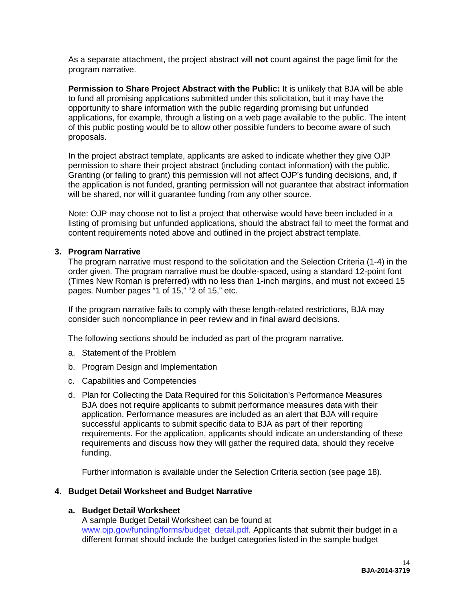As a separate attachment, the project abstract will **not** count against the page limit for the program narrative.

**Permission to Share Project Abstract with the Public:** It is unlikely that BJA will be able to fund all promising applications submitted under this solicitation, but it may have the opportunity to share information with the public regarding promising but unfunded applications, for example, through a listing on a web page available to the public. The intent of this public posting would be to allow other possible funders to become aware of such proposals.

In the project abstract template, applicants are asked to indicate whether they give OJP permission to share their project abstract (including contact information) with the public. Granting (or failing to grant) this permission will not affect OJP's funding decisions, and, if the application is not funded, granting permission will not guarantee that abstract information will be shared, nor will it guarantee funding from any other source.

Note: OJP may choose not to list a project that otherwise would have been included in a listing of promising but unfunded applications, should the abstract fail to meet the format and content requirements noted above and outlined in the project abstract template.

#### **3. Program Narrative**

The program narrative must respond to the solicitation and the Selection Criteria (1-4) in the order given. The program narrative must be double-spaced, using a standard 12-point font (Times New Roman is preferred) with no less than 1-inch margins, and must not exceed 15 pages. Number pages "1 of 15," "2 of 15," etc.

If the program narrative fails to comply with these length-related restrictions, BJA may consider such noncompliance in peer review and in final award decisions.

The following sections should be included as part of the program narrative.

- a. Statement of the Problem
- b. Program Design and Implementation
- c. Capabilities and Competencies
- d. Plan for Collecting the Data Required for this Solicitation's Performance Measures BJA does not require applicants to submit performance measures data with their application. Performance measures are included as an alert that BJA will require successful applicants to submit specific data to BJA as part of their reporting requirements. For the application, applicants should indicate an understanding of these requirements and discuss how they will gather the required data, should they receive funding.

Further information is available under the Selection Criteria section (see page 18).

#### **4. Budget Detail Worksheet and Budget Narrative**

#### **a. Budget Detail Worksheet**

A sample Budget Detail Worksheet can be found at [www.ojp.gov/funding/forms/budget\\_detail.pdf. A](http://www.ojp.gov/funding/forms/budget_detail.pdf)pplicants that submit their budget in a different format should include the budget categories listed in the sample budget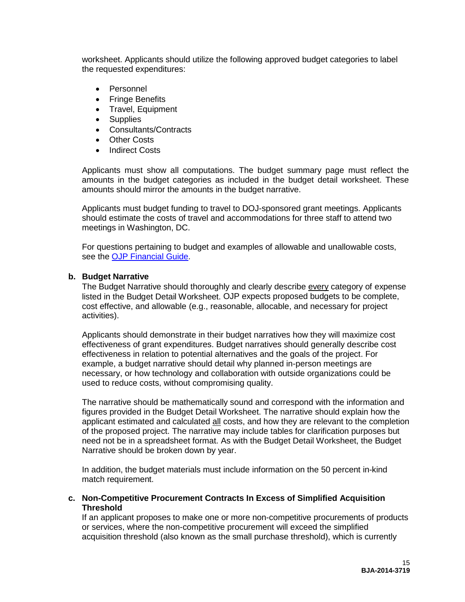worksheet. Applicants should utilize the following approved budget categories to label the requested expenditures:

- Personnel
- Fringe Benefits
- Travel, Equipment
- Supplies
- Consultants/Contracts
- Other Costs
- Indirect Costs

Applicants must show all computations. The budget summary page must reflect the amounts in the budget categories as included in the budget detail worksheet. These amounts should mirror the amounts in the budget narrative.

Applicants must budget funding to travel to DOJ-sponsored grant meetings. Applicants should estimate the costs of travel and accommodations for three staff to attend two meetings in Washington, DC.

For questions pertaining to budget and examples of allowable and unallowable costs, see the **OJP** Financial Guide.

#### **b. Budget Narrative**

The Budget Narrative should thoroughly and clearly describe every category of expense listed in the Budget Detail Worksheet. OJP expects proposed budgets to be complete, cost effective, and allowable (e.g., reasonable, allocable, and necessary for project activities).

Applicants should demonstrate in their budget narratives how they will maximize cost effectiveness of grant expenditures. Budget narratives should generally describe cost effectiveness in relation to potential alternatives and the goals of the project. For example, a budget narrative should detail why planned in-person meetings are necessary, or how technology and collaboration with outside organizations could be used to reduce costs, without compromising quality.

The narrative should be mathematically sound and correspond with the information and figures provided in the Budget Detail Worksheet. The narrative should explain how the applicant estimated and calculated all costs, and how they are relevant to the completion of the proposed project. The narrative may include tables for clarification purposes but need not be in a spreadsheet format. As with the Budget Detail Worksheet, the Budget Narrative should be broken down by year.

In addition, the budget materials must include information on the 50 percent in-kind match requirement.

**c. Non-Competitive Procurement Contracts In Excess of Simplified Acquisition Threshold**

If an applicant proposes to make one or more non-competitive procurements of products or services, where the non-competitive procurement will exceed the simplified acquisition threshold (also known as the small purchase threshold), which is currently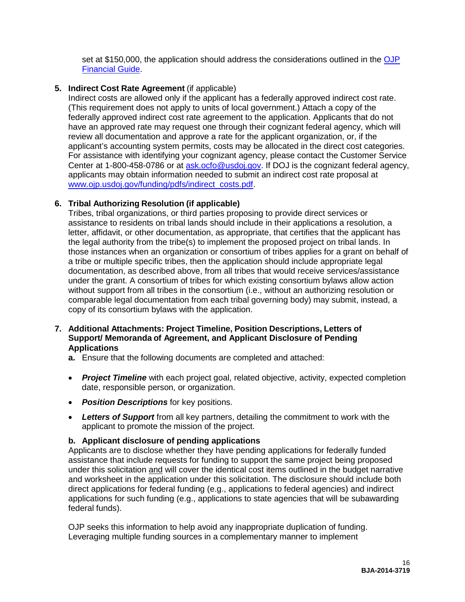set at \$150,000, the application should address the considerations outlined in the OJP [Financial Guide.](http://www.ojp.usdoj.gov/financialguide/index.htm)

#### **5. Indirect Cost Rate Agreement** (if applicable)

Indirect costs are allowed only if the applicant has a federally approved indirect cost rate. (This requirement does not apply to units of local government.) Attach a copy of the federally approved indirect cost rate agreement to the application. Applicants that do not have an approved rate may request one through their cognizant federal agency, which will review all documentation and approve a rate for the applicant organization, or, if the applicant's accounting system permits, costs may be allocated in the direct cost categories. For assistance with identifying your cognizant agency, please contact the Customer Service Center at 1-800-458-0786 or at [ask.ocfo@usdoj.gov.](mailto:ask.ocfo@usdoj.gov) If DOJ is the cognizant federal agency, applicants may obtain information needed to submit an indirect cost rate proposal at [www.ojp.usdoj.gov/funding/pdfs/indirect\\_costs.pdf.](http://www.ojp.usdoj.gov/funding/pdfs/indirect_costs.pdf)

#### **6. Tribal Authorizing Resolution (if applicable)**

Tribes, tribal organizations, or third parties proposing to provide direct services or assistance to residents on tribal lands should include in their applications a resolution, a letter, affidavit, or other documentation, as appropriate, that certifies that the applicant has the legal authority from the tribe(s) to implement the proposed project on tribal lands. In those instances when an organization or consortium of tribes applies for a grant on behalf of a tribe or multiple specific tribes, then the application should include appropriate legal documentation, as described above, from all tribes that would receive services/assistance under the grant. A consortium of tribes for which existing consortium bylaws allow action without support from all tribes in the consortium (i.e., without an authorizing resolution or comparable legal documentation from each tribal governing body) may submit, instead, a copy of its consortium bylaws with the application.

#### **7. Additional Attachments: Project Timeline, Position Descriptions, Letters of Support/ Memoranda of Agreement, and Applicant Disclosure of Pending Applications**

- **a.** Ensure that the following documents are completed and attached:
- *Project Timeline* with each project goal, related objective, activity, expected completion date, responsible person, or organization.
- *Position Descriptions* for key positions.
- *Letters of Support* from all key partners, detailing the commitment to work with the applicant to promote the mission of the project.

#### **b. Applicant disclosure of pending applications**

Applicants are to disclose whether they have pending applications for federally funded assistance that include requests for funding to support the same project being proposed under this solicitation and will cover the identical cost items outlined in the budget narrative and worksheet in the application under this solicitation. The disclosure should include both direct applications for federal funding (e.g., applications to federal agencies) and indirect applications for such funding (e.g., applications to state agencies that will be subawarding federal funds).

OJP seeks this information to help avoid any inappropriate duplication of funding. Leveraging multiple funding sources in a complementary manner to implement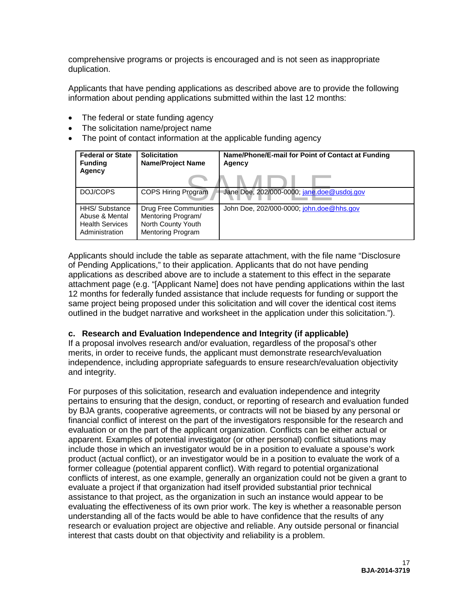comprehensive programs or projects is encouraged and is not seen as inappropriate duplication.

Applicants that have pending applications as described above are to provide the following information about pending applications submitted within the last 12 months:

- The federal or state funding agency
- The solicitation name/project name
- The point of contact information at the applicable funding agency

| <b>Federal or State</b><br><b>Funding</b><br>Agency                         | <b>Solicitation</b><br><b>Name/Project Name</b>                                               | Name/Phone/E-mail for Point of Contact at Funding<br>Agency |
|-----------------------------------------------------------------------------|-----------------------------------------------------------------------------------------------|-------------------------------------------------------------|
| DOJ/COPS                                                                    | <b>COPS Hiring Program</b>                                                                    | Jane Doe, 202/000-0000; jane.doe@usdoj.gov                  |
| HHS/Substance<br>Abuse & Mental<br><b>Health Services</b><br>Administration | Drug Free Communities<br>Mentoring Program/<br>North County Youth<br><b>Mentoring Program</b> | John Doe, 202/000-0000; john.doe@hhs.gov                    |

Applicants should include the table as separate attachment, with the file name "Disclosure of Pending Applications," to their application. Applicants that do not have pending applications as described above are to include a statement to this effect in the separate attachment page (e.g. "[Applicant Name] does not have pending applications within the last 12 months for federally funded assistance that include requests for funding or support the same project being proposed under this solicitation and will cover the identical cost items outlined in the budget narrative and worksheet in the application under this solicitation.").

#### **c. Research and Evaluation Independence and Integrity (if applicable)**

If a proposal involves research and/or evaluation, regardless of the proposal's other merits, in order to receive funds, the applicant must demonstrate research/evaluation independence, including appropriate safeguards to ensure research/evaluation objectivity and integrity.

For purposes of this solicitation, research and evaluation independence and integrity pertains to ensuring that the design, conduct, or reporting of research and evaluation funded by BJA grants, cooperative agreements, or contracts will not be biased by any personal or financial conflict of interest on the part of the investigators responsible for the research and evaluation or on the part of the applicant organization. Conflicts can be either actual or apparent. Examples of potential investigator (or other personal) conflict situations may include those in which an investigator would be in a position to evaluate a spouse's work product (actual conflict), or an investigator would be in a position to evaluate the work of a former colleague (potential apparent conflict). With regard to potential organizational conflicts of interest, as one example, generally an organization could not be given a grant to evaluate a project if that organization had itself provided substantial prior technical assistance to that project, as the organization in such an instance would appear to be evaluating the effectiveness of its own prior work. The key is whether a reasonable person understanding all of the facts would be able to have confidence that the results of any research or evaluation project are objective and reliable. Any outside personal or financial interest that casts doubt on that objectivity and reliability is a problem.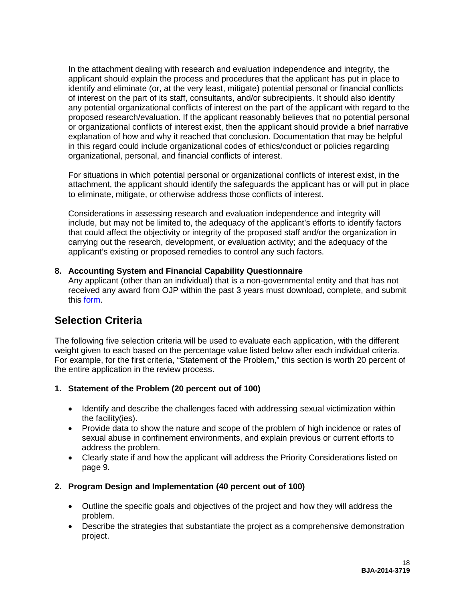In the attachment dealing with research and evaluation independence and integrity, the applicant should explain the process and procedures that the applicant has put in place to identify and eliminate (or, at the very least, mitigate) potential personal or financial conflicts of interest on the part of its staff, consultants, and/or subrecipients. It should also identify any potential organizational conflicts of interest on the part of the applicant with regard to the proposed research/evaluation. If the applicant reasonably believes that no potential personal or organizational conflicts of interest exist, then the applicant should provide a brief narrative explanation of how and why it reached that conclusion. Documentation that may be helpful in this regard could include organizational codes of ethics/conduct or policies regarding organizational, personal, and financial conflicts of interest.

For situations in which potential personal or organizational conflicts of interest exist, in the attachment, the applicant should identify the safeguards the applicant has or will put in place to eliminate, mitigate, or otherwise address those conflicts of interest.

Considerations in assessing research and evaluation independence and integrity will include, but may not be limited to, the adequacy of the applicant's efforts to identify factors that could affect the objectivity or integrity of the proposed staff and/or the organization in carrying out the research, development, or evaluation activity; and the adequacy of the applicant's existing or proposed remedies to control any such factors.

#### **8. Accounting System and Financial Capability Questionnaire**

Any applicant (other than an individual) that is a non-governmental entity and that has not received any award from OJP within the past 3 years must download, complete, and submit this [form.](http://www.ojp.usdoj.gov/funding/forms/financial_capability.pdf)

# **Selection Criteria**

The following five selection criteria will be used to evaluate each application, with the different weight given to each based on the percentage value listed below after each individual criteria. For example, for the first criteria, "Statement of the Problem," this section is worth 20 percent of the entire application in the review process.

### **1. Statement of the Problem (20 percent out of 100)**

- Identify and describe the challenges faced with addressing sexual victimization within the facility(ies).
- Provide data to show the nature and scope of the problem of high incidence or rates of sexual abuse in confinement environments, and explain previous or current efforts to address the problem.
- Clearly state if and how the applicant will address the Priority Considerations listed on page 9.

### **2. Program Design and Implementation (40 percent out of 100)**

- Outline the specific goals and objectives of the project and how they will address the problem.
- Describe the strategies that substantiate the project as a comprehensive demonstration project.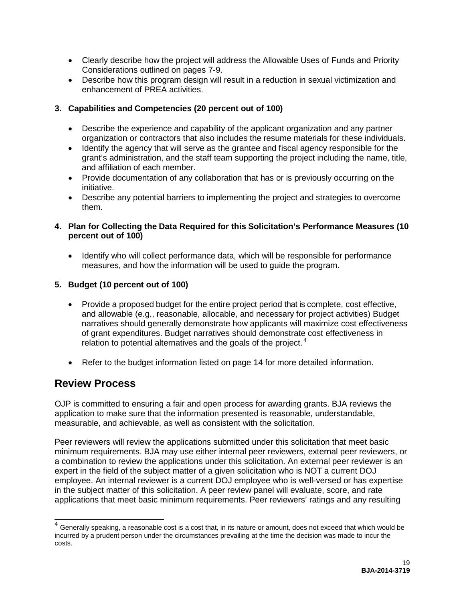- Clearly describe how the project will address the Allowable Uses of Funds and Priority Considerations outlined on pages 7-9.
- Describe how this program design will result in a reduction in sexual victimization and enhancement of PREA activities.

#### **3. Capabilities and Competencies (20 percent out of 100)**

- Describe the experience and capability of the applicant organization and any partner organization or contractors that also includes the resume materials for these individuals.
- Identify the agency that will serve as the grantee and fiscal agency responsible for the grant's administration, and the staff team supporting the project including the name, title, and affiliation of each member.
- Provide documentation of any collaboration that has or is previously occurring on the initiative.
- Describe any potential barriers to implementing the project and strategies to overcome them.
- **4. Plan for Collecting the Data Required for this Solicitation's Performance Measures (10 percent out of 100)**
	- Identify who will collect performance data, which will be responsible for performance measures, and how the information will be used to guide the program.

#### **5. Budget (10 percent out of 100)**

- Provide a proposed budget for the entire project period that is complete, cost effective, and allowable (e.g., reasonable, allocable, and necessary for project activities) Budget narratives should generally demonstrate how applicants will maximize cost effectiveness of grant expenditures. Budget narratives should demonstrate cost effectiveness in relation to potential alternatives and the goals of the project.<sup>[4](#page-18-0)</sup>
- Refer to the budget information listed on page 14 for more detailed information.

## **Review Process**

OJP is committed to ensuring a fair and open process for awarding grants. BJA reviews the application to make sure that the information presented is reasonable, understandable, measurable, and achievable, as well as consistent with the solicitation.

Peer reviewers will review the applications submitted under this solicitation that meet basic minimum requirements. BJA may use either internal peer reviewers, external peer reviewers, or a combination to review the applications under this solicitation. An external peer reviewer is an expert in the field of the subject matter of a given solicitation who is NOT a current DOJ employee. An internal reviewer is a current DOJ employee who is well-versed or has expertise in the subject matter of this solicitation. A peer review panel will evaluate, score, and rate applications that meet basic minimum requirements. Peer reviewers' ratings and any resulting

<span id="page-18-0"></span> $\frac{4}{4}$  Generally speaking, a reasonable cost is a cost that, in its nature or amount, does not exceed that which would be incurred by a prudent person under the circumstances prevailing at the time the decision was made to incur the costs.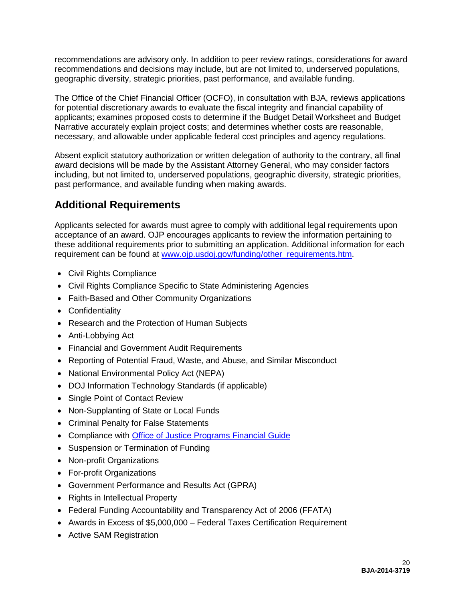recommendations are advisory only. In addition to peer review ratings, considerations for award recommendations and decisions may include, but are not limited to, underserved populations, geographic diversity, strategic priorities, past performance, and available funding.

The Office of the Chief Financial Officer (OCFO), in consultation with BJA, reviews applications for potential discretionary awards to evaluate the fiscal integrity and financial capability of applicants; examines proposed costs to determine if the Budget Detail Worksheet and Budget Narrative accurately explain project costs; and determines whether costs are reasonable, necessary, and allowable under applicable federal cost principles and agency regulations.

Absent explicit statutory authorization or written delegation of authority to the contrary, all final award decisions will be made by the Assistant Attorney General, who may consider factors including, but not limited to, underserved populations, geographic diversity, strategic priorities, past performance, and available funding when making awards.

# **Additional Requirements**

Applicants selected for awards must agree to comply with additional legal requirements upon acceptance of an award. OJP encourages applicants to review the information pertaining to these additional requirements prior to submitting an application. Additional information for each requirement can be found at [www.ojp.usdoj.gov/funding/other\\_requirements.htm.](http://www.ojp.usdoj.gov/funding/other_requirements.htm)

- [Civil Rights Compliance](http://www.ojp.usdoj.gov/about/ocr/statutes.htm)
- Civil Rights Compliance Specific to State Administering Agencies
- Faith-Based and Other Community Organizations
- Confidentiality
- Research and the Protection of Human Subjects
- Anti-Lobbying Act
- Financial and Government Audit Requirements
- Reporting of Potential Fraud, Waste, and Abuse, and Similar Misconduct
- National Environmental Policy Act (NEPA)
- DOJ Information Technology Standards (if applicable)
- Single Point of Contact Review
- Non-Supplanting of State or Local Funds
- Criminal Penalty for False Statements
- Compliance with [Office of Justice Programs Financial Guide](http://www.ojp.usdoj.gov/financialguide/index.htm)
- Suspension or Termination of Funding
- Non-profit Organizations
- For-profit Organizations
- Government Performance and Results Act (GPRA)
- Rights in Intellectual Property
- Federal Funding Accountability and Transparency Act of 2006 (FFATA)
- Awards in Excess of \$5,000,000 Federal Taxes Certification Requirement
- Active SAM Registration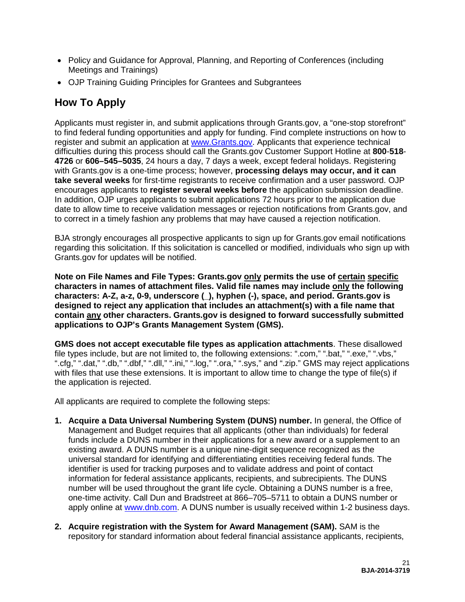- Policy and Guidance for Approval, Planning, and Reporting of Conferences (including Meetings and Trainings)
- OJP Training Guiding Principles for Grantees and Subgrantees

# **How To Apply**

Applicants must register in, and submit applications through Grants.gov, a "one-stop storefront" to find federal funding opportunities and apply for funding. Find complete instructions on how to register and submit an application at [www.Grants.gov.](http://www.grants.gov/) Applicants that experience technical difficulties during this process should call the Grants.gov Customer Support Hotline at **800**-**518**- **4726** or **606–545–5035**, 24 hours a day, 7 days a week, except federal holidays. Registering with Grants.gov is a one-time process; however, **processing delays may occur, and it can take several weeks** for first-time registrants to receive confirmation and a user password. OJP encourages applicants to **register several weeks before** the application submission deadline. In addition, OJP urges applicants to submit applications 72 hours prior to the application due date to allow time to receive validation messages or rejection notifications from Grants.gov, and to correct in a timely fashion any problems that may have caused a rejection notification.

BJA strongly encourages all prospective applicants to sign up for Grants.gov email notifications regarding this solicitation. If this solicitation is cancelled or modified, individuals who sign up with Grants.gov for updates will be notified.

**Note on File Names and File Types: Grants.gov only permits the use of certain specific characters in names of attachment files. Valid file names may include only the following characters: A-Z, a-z, 0-9, underscore (\_), hyphen (-), space, and period. Grants.gov is designed to reject any application that includes an attachment(s) with a file name that contain any other characters. Grants.gov is designed to forward successfully submitted applications to OJP's Grants Management System (GMS).**

**GMS does not accept executable file types as application attachments**. These disallowed file types include, but are not limited to, the following extensions: ".com," ".bat," ".exe," ".vbs," ".cfg," ".dat," ".db," ".dbf," ".dll," ".ini," ".log," ".ora," ".sys," and ".zip." GMS may reject applications with files that use these extensions. It is important to allow time to change the type of file(s) if the application is rejected.

All applicants are required to complete the following steps:

- **1. Acquire a Data Universal Numbering System (DUNS) number.** In general, the Office of Management and Budget requires that all applicants (other than individuals) for federal funds include a DUNS number in their applications for a new award or a supplement to an existing award. A DUNS number is a unique nine-digit sequence recognized as the universal standard for identifying and differentiating entities receiving federal funds. The identifier is used for tracking purposes and to validate address and point of contact information for federal assistance applicants, recipients, and subrecipients. The DUNS number will be used throughout the grant life cycle. Obtaining a DUNS number is a free, one-time activity. Call Dun and Bradstreet at 866–705–5711 to obtain a DUNS number or apply online at [www.dnb.com.](http://www.dnb.com/) A DUNS number is usually received within 1-2 business days.
- **2. Acquire registration with the System for Award Management (SAM).** SAM is the repository for standard information about federal financial assistance applicants, recipients,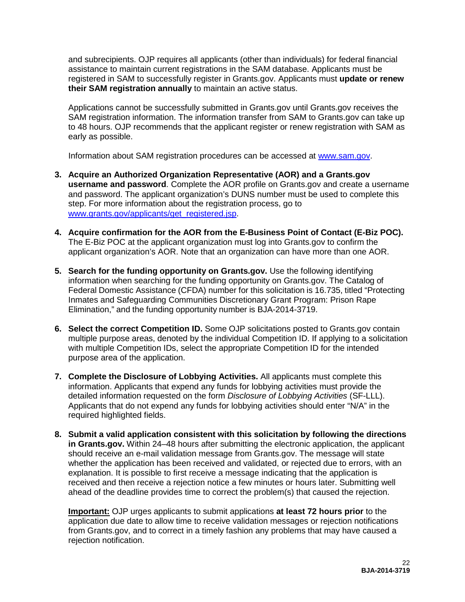and subrecipients. OJP requires all applicants (other than individuals) for federal financial assistance to maintain current registrations in the SAM database. Applicants must be registered in SAM to successfully register in Grants.gov. Applicants must **update or renew their SAM registration annually** to maintain an active status.

Applications cannot be successfully submitted in Grants.gov until Grants.gov receives the SAM registration information. The information transfer from SAM to Grants.gov can take up to 48 hours. OJP recommends that the applicant register or renew registration with SAM as early as possible.

Information about SAM registration procedures can be accessed at [www.sam.gov.](https://www.sam.gov/portal/public/SAM/?portal:componentId=1f834b82-3fed-4eb3-a1f8-ea1f226a7955&portal:type=action&interactionstate=JBPNS_rO0ABXc0ABBfanNmQnJpZGdlVmlld0lkAAAAAQATL2pzZi9uYXZpZ2F0aW9uLmpzcAAHX19FT0ZfXw**)

- **3. Acquire an Authorized Organization Representative (AOR) and a Grants.gov username and password**. Complete the AOR profile on Grants.gov and create a username and password. The applicant organization's DUNS number must be used to complete this step. For more information about the registration process, go to [www.grants.gov/applicants/get\\_registered.jsp.](http://www.grants.gov/applicants/get_registered.jsp)
- **4. Acquire confirmation for the AOR from the E-Business Point of Contact (E-Biz POC).**  The E-Biz POC at the applicant organization must log into Grants.gov to confirm the applicant organization's AOR. Note that an organization can have more than one AOR.
- **5. Search for the funding opportunity on Grants.gov.** Use the following identifying information when searching for the funding opportunity on Grants.gov. The Catalog of Federal Domestic Assistance (CFDA) number for this solicitation is 16.735, titled "Protecting Inmates and Safeguarding Communities Discretionary Grant Program: Prison Rape Elimination," and the funding opportunity number is BJA-2014-3719.
- **6. Select the correct Competition ID.** Some OJP solicitations posted to Grants.gov contain multiple purpose areas, denoted by the individual Competition ID. If applying to a solicitation with multiple Competition IDs, select the appropriate Competition ID for the intended purpose area of the application.
- **7. Complete the Disclosure of Lobbying Activities.** All applicants must complete this information. Applicants that expend any funds for lobbying activities must provide the detailed information requested on the form *Disclosure of Lobbying Activities* (SF-LLL). Applicants that do not expend any funds for lobbying activities should enter "N/A" in the required highlighted fields.
- **8. Submit a valid application consistent with this solicitation by following the directions in Grants.gov.** Within 24–48 hours after submitting the electronic application, the applicant should receive an e-mail validation message from Grants.gov. The message will state whether the application has been received and validated, or rejected due to errors, with an explanation. It is possible to first receive a message indicating that the application is received and then receive a rejection notice a few minutes or hours later. Submitting well ahead of the deadline provides time to correct the problem(s) that caused the rejection.

**Important:** OJP urges applicants to submit applications **at least 72 hours prior** to the application due date to allow time to receive validation messages or rejection notifications from Grants.gov, and to correct in a timely fashion any problems that may have caused a rejection notification.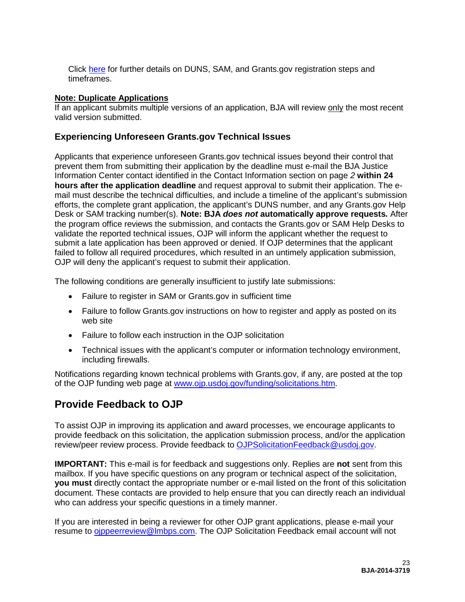Click [here](http://www.grants.gov/web/grants/applicants/organization-registration.html) for further details on DUNS, SAM, and Grants.gov registration steps and timeframes.

#### **Note: Duplicate Applications**

If an applicant submits multiple versions of an application, BJA will review only the most recent valid version submitted.

#### **Experiencing Unforeseen Grants.gov Technical Issues**

Applicants that experience unforeseen Grants.gov technical issues beyond their control that prevent them from submitting their application by the deadline must e-mail the BJA Justice Information Center contact identified in the Contact Information section on page *2* **within 24 hours after the application deadline** and request approval to submit their application. The email must describe the technical difficulties, and include a timeline of the applicant's submission efforts, the complete grant application, the applicant's DUNS number, and any Grants.gov Help Desk or SAM tracking number(s). **Note: BJA** *does not* **automatically approve requests***.* After the program office reviews the submission, and contacts the Grants.gov or SAM Help Desks to validate the reported technical issues, OJP will inform the applicant whether the request to submit a late application has been approved or denied. If OJP determines that the applicant failed to follow all required procedures, which resulted in an untimely application submission, OJP will deny the applicant's request to submit their application.

The following conditions are generally insufficient to justify late submissions:

- Failure to register in SAM or Grants.gov in sufficient time
- Failure to follow Grants.gov instructions on how to register and apply as posted on its web site
- Failure to follow each instruction in the OJP solicitation
- Technical issues with the applicant's computer or information technology environment, including firewalls.

Notifications regarding known technical problems with Grants.gov, if any, are posted at the top of the OJP funding web page at [www.ojp.usdoj.gov/funding/solicitations.htm.](http://www.ojp.gov/funding/solicitations.htm)

## **Provide Feedback to OJP**

To assist OJP in improving its application and award processes, we encourage applicants to provide feedback on this solicitation, the application submission process, and/or the application review/peer review process. Provide feedback to OJPSolicitationFeedback@usdoi.gov.

**IMPORTANT:** This e-mail is for feedback and suggestions only. Replies are **not** sent from this mailbox. If you have specific questions on any program or technical aspect of the solicitation, **you must** directly contact the appropriate number or e-mail listed on the front of this solicitation document. These contacts are provided to help ensure that you can directly reach an individual who can address your specific questions in a timely manner.

If you are interested in being a reviewer for other OJP grant applications, please e-mail your resume to [ojppeerreview@lmbps.com.](mailto:ojppeerreview@lmbps.com) The OJP Solicitation Feedback email account will not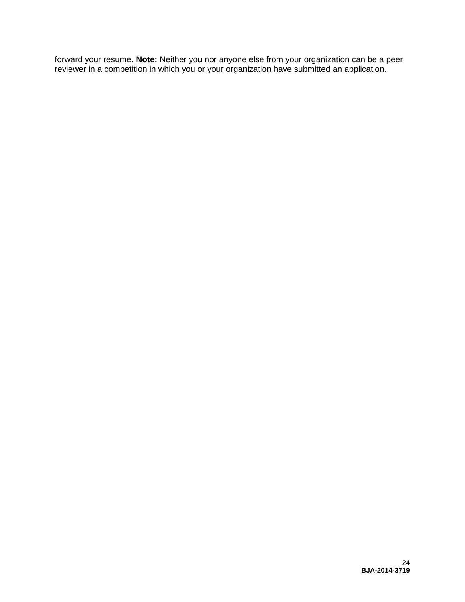forward your resume. **Note:** Neither you nor anyone else from your organization can be a peer reviewer in a competition in which you or your organization have submitted an application.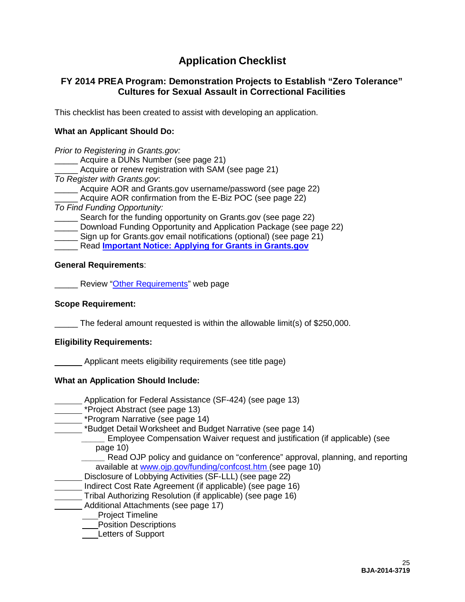# **Application Checklist**

### **FY 2014 PREA Program: Demonstration Projects to Establish "Zero Tolerance" Cultures for Sexual Assault in Correctional Facilities**

This checklist has been created to assist with developing an application.

#### **What an Applicant Should Do:**

| Prior to Registering in Grants.gov:                                 |
|---------------------------------------------------------------------|
| Acquire a DUNs Number (see page 21)                                 |
| Acquire or renew registration with SAM (see page 21)                |
| To Register with Grants.gov.                                        |
| Acquire AOR and Grants.gov username/password (see page 22)          |
| Acquire AOR confirmation from the E-Biz POC (see page 22)           |
| To Find Funding Opportunity:                                        |
| Search for the funding opportunity on Grants.gov (see page 22)      |
| Download Funding Opportunity and Application Package (see page 22)  |
| Sign up for Grants.gov email notifications (optional) (see page 21) |
| Read Important Notice: Applying for Grants in Grants.gov            |
|                                                                     |

#### **General Requirements**:

**\_\_\_\_\_** Review ["Other Requirements"](http://www.ojp.usdoj.gov/funding/other_requirements.htm) web page

#### **Scope Requirement:**

\_\_\_\_\_ The federal amount requested is within the allowable limit(s) of \$250,000.

#### **Eligibility Requirements:**

Applicant meets eligibility requirements (see title page)

#### **What an Application Should Include:**

- Application for Federal Assistance (SF-424) (see page 13)
- **Example 13** \*Project Abstract (see page 13)
- **Fig.** \*Program Narrative (see page 14)
- \*Budget Detail Worksheet and Budget Narrative (see page 14)
	- *\_\_\_\_\_* Employee Compensation Waiver request and justification (if applicable) (see page 10)
		- **Read OJP policy and guidance on "conference" approval, planning, and reporting** available at [www.ojp.gov/funding/confcost.htm](http://www.ojp.gov/funding/confcost.htm) (see page 10)
- Disclosure of Lobbying Activities (SF-LLL) (see page 22)
	- Indirect Cost Rate Agreement (if applicable) (see page 16)
	- Tribal Authorizing Resolution (if applicable) (see page 16)
	- Additional Attachments (see page 17)
		- Project Timeline
		- Position Descriptions
		- Letters of Support